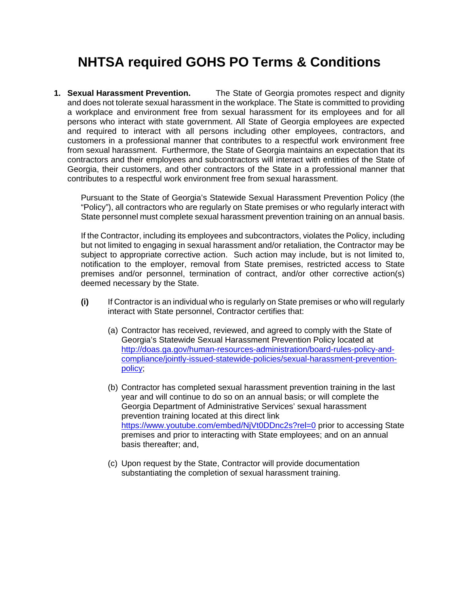## **NHTSA required GOHS PO Terms & Conditions**

**1. Sexual Harassment Prevention.** The State of Georgia promotes respect and dignity and does not tolerate sexual harassment in the workplace. The State is committed to providing a workplace and environment free from sexual harassment for its employees and for all persons who interact with state government. All State of Georgia employees are expected and required to interact with all persons including other employees, contractors, and customers in a professional manner that contributes to a respectful work environment free from sexual harassment. Furthermore, the State of Georgia maintains an expectation that its contractors and their employees and subcontractors will interact with entities of the State of Georgia, their customers, and other contractors of the State in a professional manner that contributes to a respectful work environment free from sexual harassment.

Pursuant to the State of Georgia's Statewide Sexual Harassment Prevention Policy (the "Policy"), all contractors who are regularly on State premises or who regularly interact with State personnel must complete sexual harassment prevention training on an annual basis.

If the Contractor, including its employees and subcontractors, violates the Policy, including but not limited to engaging in sexual harassment and/or retaliation, the Contractor may be subject to appropriate corrective action. Such action may include, but is not limited to, notification to the employer, removal from State premises, restricted access to State premises and/or personnel, termination of contract, and/or other corrective action(s) deemed necessary by the State.

- **(i)** If Contractor is an individual who is regularly on State premises or who will regularly interact with State personnel, Contractor certifies that:
	- (a) Contractor has received, reviewed, and agreed to comply with the State of Georgia's Statewide Sexual Harassment Prevention Policy located at [http://doas.ga.gov/human-resources-administration/board-rules-policy-and](http://doas.ga.gov/human-resources-administration/board-rules-policy-and-compliance/jointly-issued-statewide-policies/sexual-harassment-prevention-policy)[compliance/jointly-issued-statewide-policies/sexual-harassment-prevention](http://doas.ga.gov/human-resources-administration/board-rules-policy-and-compliance/jointly-issued-statewide-policies/sexual-harassment-prevention-policy)[policy;](http://doas.ga.gov/human-resources-administration/board-rules-policy-and-compliance/jointly-issued-statewide-policies/sexual-harassment-prevention-policy)
	- (b) Contractor has completed sexual harassment prevention training in the last year and will continue to do so on an annual basis; or will complete the Georgia Department of Administrative Services' sexual harassment prevention training located at this direct link <https://www.youtube.com/embed/NjVt0DDnc2s?rel=0> prior to accessing State premises and prior to interacting with State employees; and on an annual basis thereafter; and,
	- (c) Upon request by the State, Contractor will provide documentation substantiating the completion of sexual harassment training.